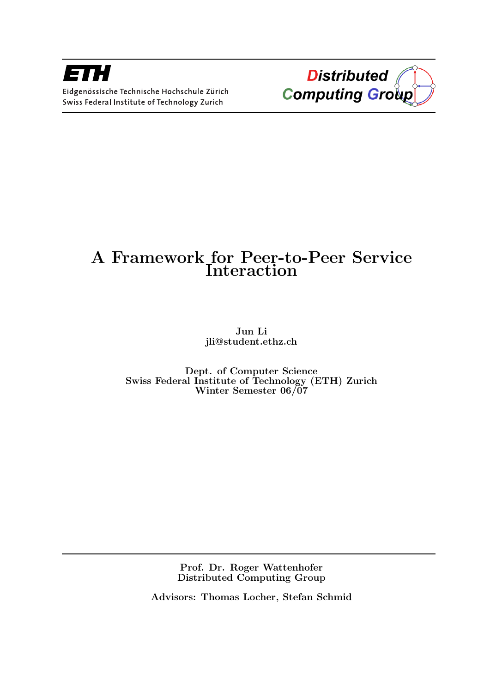



# A Framework for Peer-to-Peer Service **Interaction**

Jun Li jli@student.ethz.ch

Dept. of Computer Science Swiss Federal Institute of Technology (ETH) Zurich Winter Semester 06/07

> Prof. Dr. Roger Wattenhofer Distributed Computing Group

Advisors: Thomas Locher, Stefan Schmid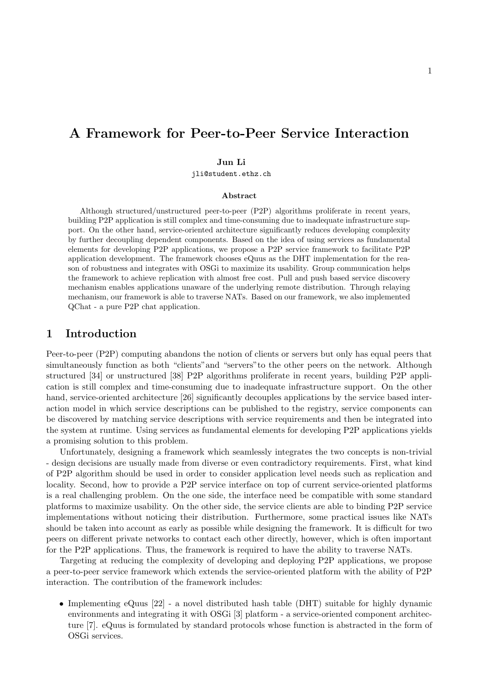## A Framework for Peer-to-Peer Service Interaction

#### Jun Li

jli@student.ethz.ch

#### Abstract

Although structured/unstructured peer-to-peer (P2P) algorithms proliferate in recent years, building P2P application is still complex and time-consuming due to inadequate infrastructure support. On the other hand, service-oriented architecture significantly reduces developing complexity by further decoupling dependent components. Based on the idea of using services as fundamental elements for developing P2P applications, we propose a P2P service framework to facilitate P2P application development. The framework chooses eQuus as the DHT implementation for the reason of robustness and integrates with OSGi to maximize its usability. Group communication helps the framework to achieve replication with almost free cost. Pull and push based service discovery mechanism enables applications unaware of the underlying remote distribution. Through relaying mechanism, our framework is able to traverse NATs. Based on our framework, we also implemented QChat - a pure P2P chat application.

## 1 Introduction

Peer-to-peer (P2P) computing abandons the notion of clients or servers but only has equal peers that simultaneously function as both "clients"and "servers"to the other peers on the network. Although structured [34] or unstructured [38] P2P algorithms proliferate in recent years, building P2P application is still complex and time-consuming due to inadequate infrastructure support. On the other hand, service-oriented architecture [26] significantly decouples applications by the service based interaction model in which service descriptions can be published to the registry, service components can be discovered by matching service descriptions with service requirements and then be integrated into the system at runtime. Using services as fundamental elements for developing P2P applications yields a promising solution to this problem.

Unfortunately, designing a framework which seamlessly integrates the two concepts is non-trivial - design decisions are usually made from diverse or even contradictory requirements. First, what kind of P2P algorithm should be used in order to consider application level needs such as replication and locality. Second, how to provide a P2P service interface on top of current service-oriented platforms is a real challenging problem. On the one side, the interface need be compatible with some standard platforms to maximize usability. On the other side, the service clients are able to binding P2P service implementations without noticing their distribution. Furthermore, some practical issues like NATs should be taken into account as early as possible while designing the framework. It is difficult for two peers on different private networks to contact each other directly, however, which is often important for the P2P applications. Thus, the framework is required to have the ability to traverse NATs.

Targeting at reducing the complexity of developing and deploying P2P applications, we propose a peer-to-peer service framework which extends the service-oriented platform with the ability of P2P interaction. The contribution of the framework includes:

• Implementing eQuus [22] - a novel distributed hash table (DHT) suitable for highly dynamic environments and integrating it with OSGi [3] platform - a service-oriented component architecture [7]. eQuus is formulated by standard protocols whose function is abstracted in the form of OSGi services.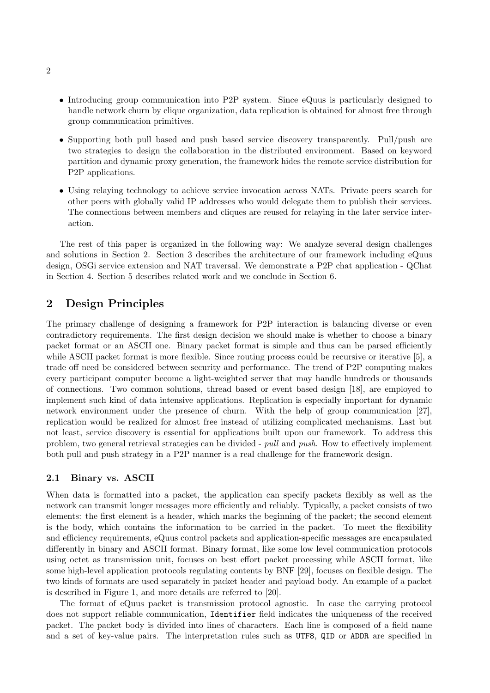- Introducing group communication into P2P system. Since eQuus is particularly designed to handle network churn by clique organization, data replication is obtained for almost free through group communication primitives.
- Supporting both pull based and push based service discovery transparently. Pull/push are two strategies to design the collaboration in the distributed environment. Based on keyword partition and dynamic proxy generation, the framework hides the remote service distribution for P2P applications.
- Using relaying technology to achieve service invocation across NATs. Private peers search for other peers with globally valid IP addresses who would delegate them to publish their services. The connections between members and cliques are reused for relaying in the later service interaction.

The rest of this paper is organized in the following way: We analyze several design challenges and solutions in Section 2. Section 3 describes the architecture of our framework including eQuus design, OSGi service extension and NAT traversal. We demonstrate a P2P chat application - QChat in Section 4. Section 5 describes related work and we conclude in Section 6.

## 2 Design Principles

The primary challenge of designing a framework for P2P interaction is balancing diverse or even contradictory requirements. The first design decision we should make is whether to choose a binary packet format or an ASCII one. Binary packet format is simple and thus can be parsed efficiently while ASCII packet format is more flexible. Since routing process could be recursive or iterative [5], a trade off need be considered between security and performance. The trend of P2P computing makes every participant computer become a light-weighted server that may handle hundreds or thousands of connections. Two common solutions, thread based or event based design [18], are employed to implement such kind of data intensive applications. Replication is especially important for dynamic network environment under the presence of churn. With the help of group communication [27], replication would be realized for almost free instead of utilizing complicated mechanisms. Last but not least, service discovery is essential for applications built upon our framework. To address this problem, two general retrieval strategies can be divided - pull and push. How to effectively implement both pull and push strategy in a P2P manner is a real challenge for the framework design.

### 2.1 Binary vs. ASCII

When data is formatted into a packet, the application can specify packets flexibly as well as the network can transmit longer messages more efficiently and reliably. Typically, a packet consists of two elements: the first element is a header, which marks the beginning of the packet; the second element is the body, which contains the information to be carried in the packet. To meet the flexibility and efficiency requirements, eQuus control packets and application-specific messages are encapsulated differently in binary and ASCII format. Binary format, like some low level communication protocols using octet as transmission unit, focuses on best effort packet processing while ASCII format, like some high-level application protocols regulating contents by BNF [29], focuses on flexible design. The two kinds of formats are used separately in packet header and payload body. An example of a packet is described in Figure 1, and more details are referred to [20].

The format of eQuus packet is transmission protocol agnostic. In case the carrying protocol does not support reliable communication, Identifier field indicates the uniqueness of the received packet. The packet body is divided into lines of characters. Each line is composed of a field name and a set of key-value pairs. The interpretation rules such as UTF8, QID or ADDR are specified in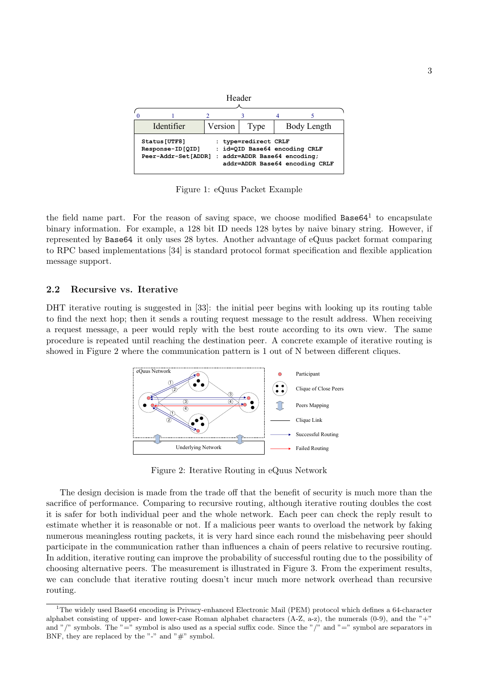| Identifier                                                                                                                                                                          | Version | Type | Body Length |  |
|-------------------------------------------------------------------------------------------------------------------------------------------------------------------------------------|---------|------|-------------|--|
| Status [UTF8]<br>: type=redirect CRLF<br>: id=QID Base64 encoding CRLF<br>Response-ID[QID]<br>: addr=ADDR Base64 encoding;<br>Peer-Addr-Set[ADDR]<br>addr=ADDR Base64 encoding CRLF |         |      |             |  |

Figure 1: eQuus Packet Example

the field name part. For the reason of saving space, we choose modified  $Base64<sup>1</sup>$  to encapsulate binary information. For example, a 128 bit ID needs 128 bytes by naive binary string. However, if represented by Base64 it only uses 28 bytes. Another advantage of eQuus packet format comparing to RPC based implementations [34] is standard protocol format specification and flexible application message support.

#### 2.2 Recursive vs. Iterative

DHT iterative routing is suggested in [33]: the initial peer begins with looking up its routing table to find the next hop; then it sends a routing request message to the result address. When receiving a request message, a peer would reply with the best route according to its own view. The same procedure is repeated until reaching the destination peer. A concrete example of iterative routing is showed in Figure 2 where the communication pattern is 1 out of N between different cliques.



Figure 2: Iterative Routing in eQuus Network

The design decision is made from the trade off that the benefit of security is much more than the sacrifice of performance. Comparing to recursive routing, although iterative routing doubles the cost it is safer for both individual peer and the whole network. Each peer can check the reply result to estimate whether it is reasonable or not. If a malicious peer wants to overload the network by faking numerous meaningless routing packets, it is very hard since each round the misbehaving peer should participate in the communication rather than influences a chain of peers relative to recursive routing. In addition, iterative routing can improve the probability of successful routing due to the possibility of choosing alternative peers. The measurement is illustrated in Figure 3. From the experiment results, we can conclude that iterative routing doesn't incur much more network overhead than recursive routing.

 $1<sup>1</sup>$ The widely used Base64 encoding is Privacy-enhanced Electronic Mail (PEM) protocol which defines a 64-character alphabet consisting of upper- and lower-case Roman alphabet characters  $(A-Z, a-z)$ , the numerals  $(0-9)$ , and the "+" and "/" symbols. The "=" symbol is also used as a special suffix code. Since the "/" and "=" symbol are separators in BNF, they are replaced by the "-" and " $#$ " symbol.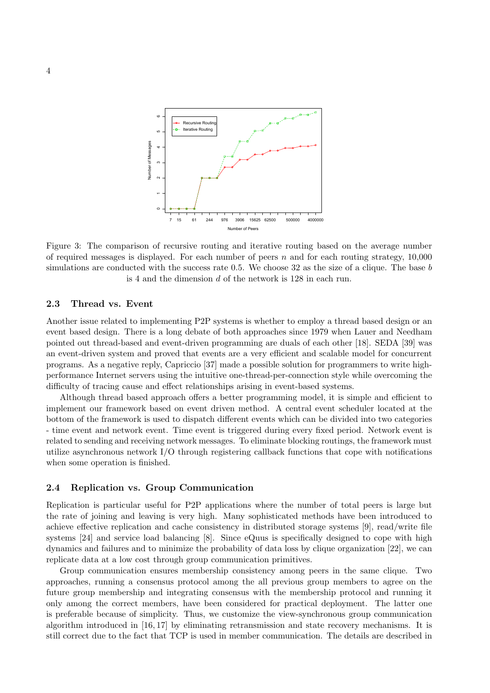

Figure 3: The comparison of recursive routing and iterative routing based on the average number of required messages is displayed. For each number of peers  $n$  and for each routing strategy, 10,000 simulations are conducted with the success rate 0.5. We choose 32 as the size of a clique. The base  $b$ is 4 and the dimension d of the network is 128 in each run.

#### 2.3 Thread vs. Event

Another issue related to implementing P2P systems is whether to employ a thread based design or an event based design. There is a long debate of both approaches since 1979 when Lauer and Needham pointed out thread-based and event-driven programming are duals of each other [18]. SEDA [39] was an event-driven system and proved that events are a very efficient and scalable model for concurrent programs. As a negative reply, Capriccio [37] made a possible solution for programmers to write highperformance Internet servers using the intuitive one-thread-per-connection style while overcoming the difficulty of tracing cause and effect relationships arising in event-based systems.

Although thread based approach offers a better programming model, it is simple and efficient to implement our framework based on event driven method. A central event scheduler located at the bottom of the framework is used to dispatch different events which can be divided into two categories - time event and network event. Time event is triggered during every fixed period. Network event is related to sending and receiving network messages. To eliminate blocking routings, the framework must utilize asynchronous network I/O through registering callback functions that cope with notifications when some operation is finished.

#### 2.4 Replication vs. Group Communication

Replication is particular useful for P2P applications where the number of total peers is large but the rate of joining and leaving is very high. Many sophisticated methods have been introduced to achieve effective replication and cache consistency in distributed storage systems [9], read/write file systems [24] and service load balancing [8]. Since eQuus is specifically designed to cope with high dynamics and failures and to minimize the probability of data loss by clique organization [22], we can replicate data at a low cost through group communication primitives.

Group communication ensures membership consistency among peers in the same clique. Two approaches, running a consensus protocol among the all previous group members to agree on the future group membership and integrating consensus with the membership protocol and running it only among the correct members, have been considered for practical deployment. The latter one is preferable because of simplicity. Thus, we customize the view-synchronous group communication algorithm introduced in [16, 17] by eliminating retransmission and state recovery mechanisms. It is still correct due to the fact that TCP is used in member communication. The details are described in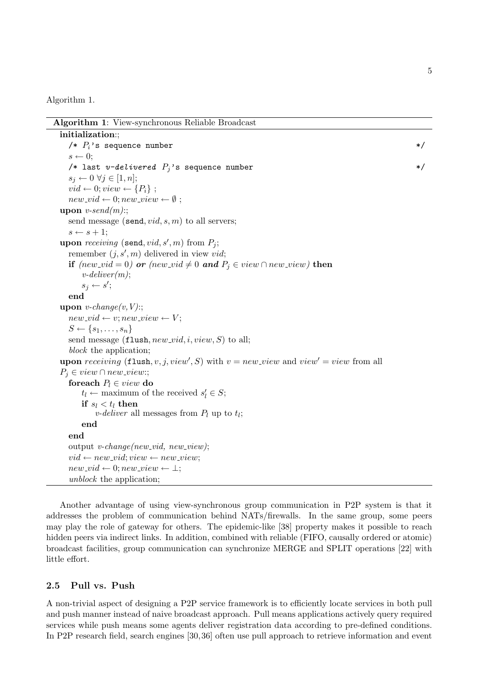Algorithm 1.

```
Algorithm 1: View-synchronous Reliable Broadcast
initialization:;
   /* P_i's sequence number */
   s \leftarrow 0;/* last v-delivered P_i's sequence number */
   s_j \leftarrow 0 \; \forall j \in [1, n];vid \leftarrow 0; view \leftarrow \{P_i\};new\_vid \leftarrow 0; new\_view \leftarrow \emptyset;upon v\text{-}send(m):;
   send message (send, vid, s, m) to all servers;
   s \leftarrow s + 1;upon receiving (send, vid, s', m) from P_j;
   remember (j, s', m) delivered in view vid;
   if (new vid = 0) or (new vid \neq 0 and P_i \in view \cap new\_view) then
       v\text{-}deliver(m);s_j \leftarrow s';
   end
upon v-change(v, V):;
   new\_vid \leftarrow v; new\_view \leftarrow V;S \leftarrow \{s_1, \ldots, s_n\}send message (flush, new\_vid, i, view, S) to all;
   block the application;
 upon receiving (flush, v, j, view', S) with v = new\_view and view' = view from all
P_j \in view \cap new\_view;
   foreach P_l \in view do
       t_l \leftarrow maximum of the received s'_l \in S;
      if s_l < t_l then
           v-deliver all messages from P_l up to t_l;
       end
   end
   output v-change(new_vid, new_view);
   vid \leftarrow new\_vid; view \leftarrow new\_view;new\_vid \leftarrow 0; new\_view \leftarrow \perp;unblock the application;
```
Another advantage of using view-synchronous group communication in P2P system is that it addresses the problem of communication behind NATs/firewalls. In the same group, some peers may play the role of gateway for others. The epidemic-like [38] property makes it possible to reach hidden peers via indirect links. In addition, combined with reliable (FIFO, causally ordered or atomic) broadcast facilities, group communication can synchronize MERGE and SPLIT operations [22] with little effort.

## 2.5 Pull vs. Push

A non-trivial aspect of designing a P2P service framework is to efficiently locate services in both pull and push manner instead of naive broadcast approach. Pull means applications actively query required services while push means some agents deliver registration data according to pre-defined conditions. In P2P research field, search engines [30, 36] often use pull approach to retrieve information and event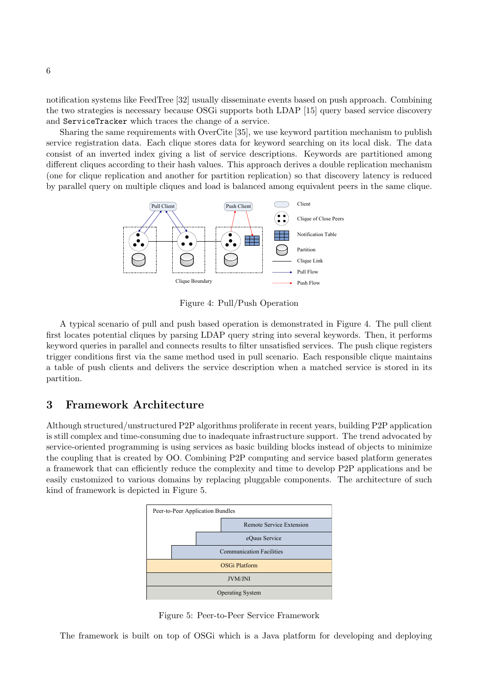notification systems like FeedTree [32] usually disseminate events based on push approach. Combining the two strategies is necessary because OSGi supports both LDAP [15] query based service discovery and ServiceTracker which traces the change of a service.

Sharing the same requirements with OverCite [35], we use keyword partition mechanism to publish service registration data. Each clique stores data for keyword searching on its local disk. The data consist of an inverted index giving a list of service descriptions. Keywords are partitioned among different cliques according to their hash values. This approach derives a double replication mechanism (one for clique replication and another for partition replication) so that discovery latency is reduced by parallel query on multiple cliques and load is balanced among equivalent peers in the same clique.



Figure 4: Pull/Push Operation

A typical scenario of pull and push based operation is demonstrated in Figure 4. The pull client first locates potential cliques by parsing LDAP query string into several keywords. Then, it performs keyword queries in parallel and connects results to filter unsatisfied services. The push clique registers trigger conditions first via the same method used in pull scenario. Each responsible clique maintains a table of push clients and delivers the service description when a matched service is stored in its partition.

## 3 Framework Architecture

Although structured/unstructured P2P algorithms proliferate in recent years, building P2P application is still complex and time-consuming due to inadequate infrastructure support. The trend advocated by service-oriented programming is using services as basic building blocks instead of objects to minimize the coupling that is created by OO. Combining P2P computing and service based platform generates a framework that can efficiently reduce the complexity and time to develop P2P applications and be easily customized to various domains by replacing pluggable components. The architecture of such kind of framework is depicted in Figure 5.



Figure 5: Peer-to-Peer Service Framework

The framework is built on top of OSGi which is a Java platform for developing and deploying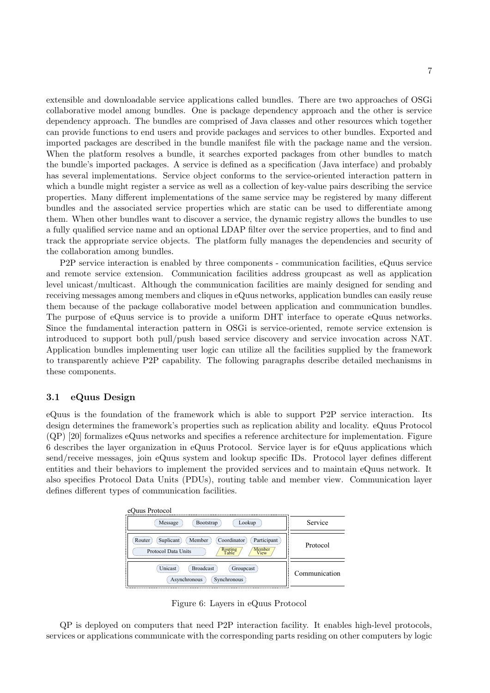extensible and downloadable service applications called bundles. There are two approaches of OSGi collaborative model among bundles. One is package dependency approach and the other is service dependency approach. The bundles are comprised of Java classes and other resources which together can provide functions to end users and provide packages and services to other bundles. Exported and imported packages are described in the bundle manifest file with the package name and the version. When the platform resolves a bundle, it searches exported packages from other bundles to match the bundle's imported packages. A service is defined as a specification (Java interface) and probably has several implementations. Service object conforms to the service-oriented interaction pattern in which a bundle might register a service as well as a collection of key-value pairs describing the service properties. Many different implementations of the same service may be registered by many different bundles and the associated service properties which are static can be used to differentiate among them. When other bundles want to discover a service, the dynamic registry allows the bundles to use a fully qualified service name and an optional LDAP filter over the service properties, and to find and track the appropriate service objects. The platform fully manages the dependencies and security of the collaboration among bundles.

P2P service interaction is enabled by three components - communication facilities, eQuus service and remote service extension. Communication facilities address groupcast as well as application level unicast/multicast. Although the communication facilities are mainly designed for sending and receiving messages among members and cliques in eQuus networks, application bundles can easily reuse them because of the package collaborative model between application and communication bundles. The purpose of eQuus service is to provide a uniform DHT interface to operate eQuus networks. Since the fundamental interaction pattern in OSGi is service-oriented, remote service extension is introduced to support both pull/push based service discovery and service invocation across NAT. Application bundles implementing user logic can utilize all the facilities supplied by the framework to transparently achieve P2P capability. The following paragraphs describe detailed mechanisms in these components.

#### 3.1 eQuus Design

eQuus is the foundation of the framework which is able to support P2P service interaction. Its design determines the framework's properties such as replication ability and locality. eQuus Protocol (QP) [20] formalizes eQuus networks and specifies a reference architecture for implementation. Figure 6 describes the layer organization in eQuus Protocol. Service layer is for eQuus applications which send/receive messages, join eQuus system and lookup specific IDs. Protocol layer defines different entities and their behaviors to implement the provided services and to maintain eQuus network. It also specifies Protocol Data Units (PDUs), routing table and member view. Communication layer defines different types of communication facilities.



Figure 6: Layers in eQuus Protocol

QP is deployed on computers that need P2P interaction facility. It enables high-level protocols, services or applications communicate with the corresponding parts residing on other computers by logic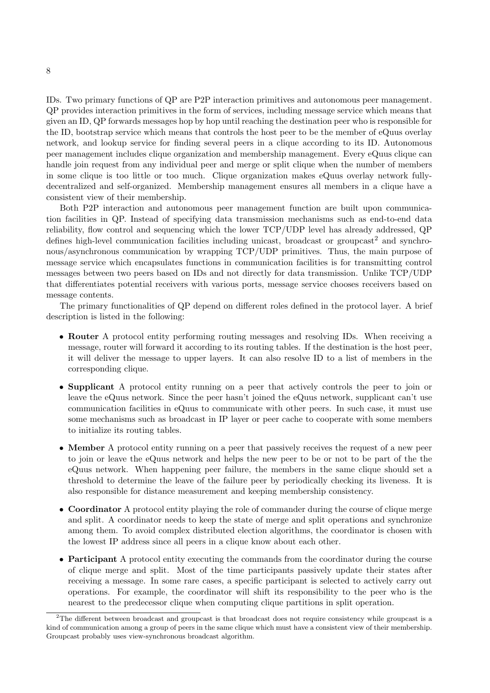IDs. Two primary functions of QP are P2P interaction primitives and autonomous peer management. QP provides interaction primitives in the form of services, including message service which means that given an ID, QP forwards messages hop by hop until reaching the destination peer who is responsible for the ID, bootstrap service which means that controls the host peer to be the member of eQuus overlay network, and lookup service for finding several peers in a clique according to its ID. Autonomous peer management includes clique organization and membership management. Every eQuus clique can handle join request from any individual peer and merge or split clique when the number of members in some clique is too little or too much. Clique organization makes eQuus overlay network fullydecentralized and self-organized. Membership management ensures all members in a clique have a consistent view of their membership.

Both P2P interaction and autonomous peer management function are built upon communication facilities in QP. Instead of specifying data transmission mechanisms such as end-to-end data reliability, flow control and sequencing which the lower TCP/UDP level has already addressed, QP defines high-level communication facilities including unicast, broadcast or groupcast<sup>2</sup> and synchronous/asynchronous communication by wrapping TCP/UDP primitives. Thus, the main purpose of message service which encapsulates functions in communication facilities is for transmitting control messages between two peers based on IDs and not directly for data transmission. Unlike TCP/UDP that differentiates potential receivers with various ports, message service chooses receivers based on message contents.

The primary functionalities of QP depend on different roles defined in the protocol layer. A brief description is listed in the following:

- Router A protocol entity performing routing messages and resolving IDs. When receiving a message, router will forward it according to its routing tables. If the destination is the host peer, it will deliver the message to upper layers. It can also resolve ID to a list of members in the corresponding clique.
- Supplicant A protocol entity running on a peer that actively controls the peer to join or leave the eQuus network. Since the peer hasn't joined the eQuus network, supplicant can't use communication facilities in eQuus to communicate with other peers. In such case, it must use some mechanisms such as broadcast in IP layer or peer cache to cooperate with some members to initialize its routing tables.
- **Member** A protocol entity running on a peer that passively receives the request of a new peer to join or leave the eQuus network and helps the new peer to be or not to be part of the the eQuus network. When happening peer failure, the members in the same clique should set a threshold to determine the leave of the failure peer by periodically checking its liveness. It is also responsible for distance measurement and keeping membership consistency.
- Coordinator A protocol entity playing the role of commander during the course of clique merge and split. A coordinator needs to keep the state of merge and split operations and synchronize among them. To avoid complex distributed election algorithms, the coordinator is chosen with the lowest IP address since all peers in a clique know about each other.
- Participant A protocol entity executing the commands from the coordinator during the course of clique merge and split. Most of the time participants passively update their states after receiving a message. In some rare cases, a specific participant is selected to actively carry out operations. For example, the coordinator will shift its responsibility to the peer who is the nearest to the predecessor clique when computing clique partitions in split operation.

<sup>&</sup>lt;sup>2</sup>The different between broadcast and groupcast is that broadcast does not require consistency while groupcast is a kind of communication among a group of peers in the same clique which must have a consistent view of their membership. Groupcast probably uses view-synchronous broadcast algorithm.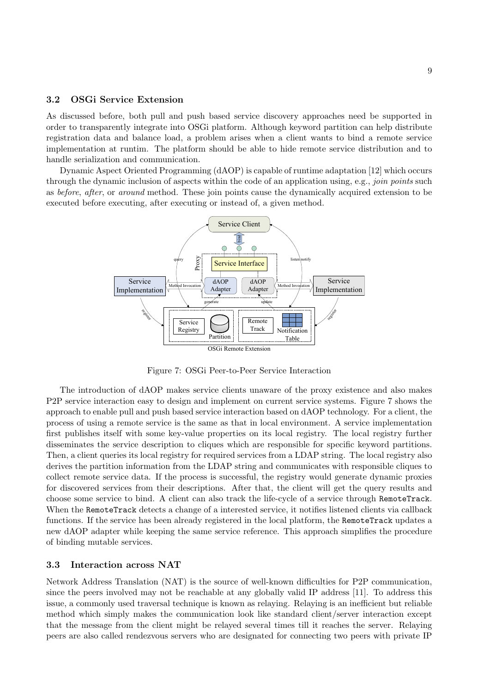#### 3.2 OSGi Service Extension

As discussed before, both pull and push based service discovery approaches need be supported in order to transparently integrate into OSGi platform. Although keyword partition can help distribute registration data and balance load, a problem arises when a client wants to bind a remote service implementation at runtim. The platform should be able to hide remote service distribution and to handle serialization and communication.

Dynamic Aspect Oriented Programming (dAOP) is capable of runtime adaptation [12] which occurs through the dynamic inclusion of aspects within the code of an application using, e.g., *join points* such as before, after, or around method. These join points cause the dynamically acquired extension to be executed before executing, after executing or instead of, a given method.



Figure 7: OSGi Peer-to-Peer Service Interaction

The introduction of dAOP makes service clients unaware of the proxy existence and also makes P2P service interaction easy to design and implement on current service systems. Figure 7 shows the approach to enable pull and push based service interaction based on dAOP technology. For a client, the process of using a remote service is the same as that in local environment. A service implementation first publishes itself with some key-value properties on its local registry. The local registry further disseminates the service description to cliques which are responsible for specific keyword partitions. Then, a client queries its local registry for required services from a LDAP string. The local registry also derives the partition information from the LDAP string and communicates with responsible cliques to collect remote service data. If the process is successful, the registry would generate dynamic proxies for discovered services from their descriptions. After that, the client will get the query results and choose some service to bind. A client can also track the life-cycle of a service through RemoteTrack. When the RemoteTrack detects a change of a interested service, it notifies listened clients via callback functions. If the service has been already registered in the local platform, the RemoteTrack updates a new dAOP adapter while keeping the same service reference. This approach simplifies the procedure of binding mutable services.

#### 3.3 Interaction across NAT

Network Address Translation (NAT) is the source of well-known difficulties for P2P communication, since the peers involved may not be reachable at any globally valid IP address [11]. To address this issue, a commonly used traversal technique is known as relaying. Relaying is an inefficient but reliable method which simply makes the communication look like standard client/server interaction except that the message from the client might be relayed several times till it reaches the server. Relaying peers are also called rendezvous servers who are designated for connecting two peers with private IP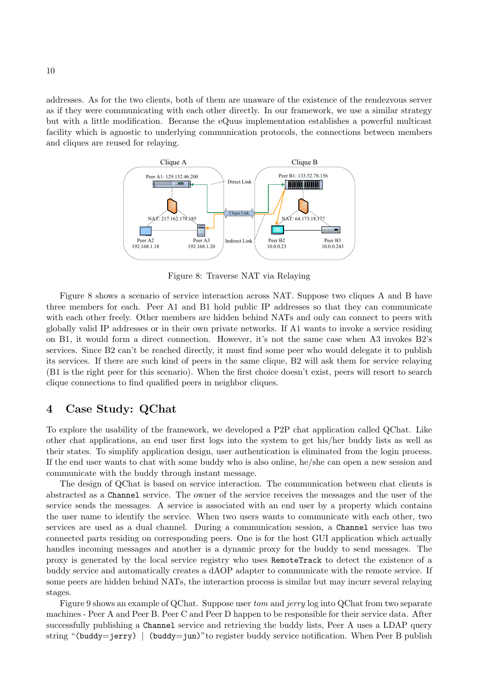addresses. As for the two clients, both of them are unaware of the existence of the rendezvous server as if they were communicating with each other directly. In our framework, we use a similar strategy but with a little modification. Because the eQuus implementation establishes a powerful multicast facility which is agnostic to underlying communication protocols, the connections between members and cliques are reused for relaying.



Figure 8: Traverse NAT via Relaying

Figure 8 shows a scenario of service interaction across NAT. Suppose two cliques A and B have three members for each. Peer A1 and B1 hold public IP addresses so that they can communicate with each other freely. Other members are hidden behind NATs and only can connect to peers with globally valid IP addresses or in their own private networks. If A1 wants to invoke a service residing on B1, it would form a direct connection. However, it's not the same case when A3 invokes B2's services. Since B2 can't be reached directly, it must find some peer who would delegate it to publish its services. If there are such kind of peers in the same clique, B2 will ask them for service relaying (B1 is the right peer for this scenario). When the first choice doesn't exist, peers will resort to search clique connections to find qualified peers in neighbor cliques.

## 4 Case Study: QChat

To explore the usability of the framework, we developed a P2P chat application called QChat. Like other chat applications, an end user first logs into the system to get his/her buddy lists as well as their states. To simplify application design, user authentication is eliminated from the login process. If the end user wants to chat with some buddy who is also online, he/she can open a new session and communicate with the buddy through instant message.

The design of QChat is based on service interaction. The communication between chat clients is abstracted as a Channel service. The owner of the service receives the messages and the user of the service sends the messages. A service is associated with an end user by a property which contains the user name to identify the service. When two users wants to communicate with each other, two services are used as a dual channel. During a communication session, a Channel service has two connected parts residing on corresponding peers. One is for the host GUI application which actually handles incoming messages and another is a dynamic proxy for the buddy to send messages. The proxy is generated by the local service registry who uses RemoteTrack to detect the existence of a buddy service and automatically creates a dAOP adapter to communicate with the remote service. If some peers are hidden behind NATs, the interaction process is similar but may incurr several relaying stages.

Figure 9 shows an example of QChat. Suppose user tom and jerry log into QChat from two separate machines - Peer A and Peer B. Peer C and Peer D happen to be responsible for their service data. After successfully publishing a Channel service and retrieving the buddy lists, Peer A uses a LDAP query string "(buddy=jerry) | (buddy=jun)" to register buddy service notification. When Peer B publish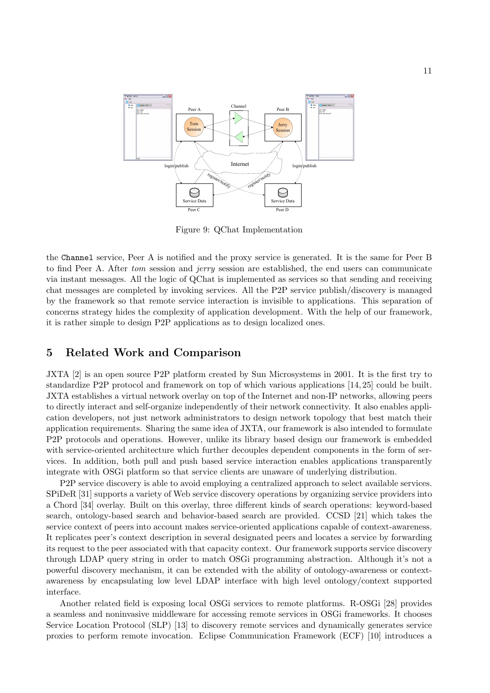

Figure 9: QChat Implementation

the Channel service, Peer A is notified and the proxy service is generated. It is the same for Peer B to find Peer A. After tom session and jerry session are established, the end users can communicate via instant messages. All the logic of QChat is implemented as services so that sending and receiving chat messages are completed by invoking services. All the P2P service publish/discovery is managed by the framework so that remote service interaction is invisible to applications. This separation of concerns strategy hides the complexity of application development. With the help of our framework, it is rather simple to design P2P applications as to design localized ones.

## 5 Related Work and Comparison

JXTA [2] is an open source P2P platform created by Sun Microsystems in 2001. It is the first try to standardize P2P protocol and framework on top of which various applications [14, 25] could be built. JXTA establishes a virtual network overlay on top of the Internet and non-IP networks, allowing peers to directly interact and self-organize independently of their network connectivity. It also enables application developers, not just network administrators to design network topology that best match their application requirements. Sharing the same idea of JXTA, our framework is also intended to formulate P2P protocols and operations. However, unlike its library based design our framework is embedded with service-oriented architecture which further decouples dependent components in the form of services. In addition, both pull and push based service interaction enables applications transparently integrate with OSGi platform so that service clients are unaware of underlying distribution.

P2P service discovery is able to avoid employing a centralized approach to select available services. SPiDeR [31] supports a variety of Web service discovery operations by organizing service providers into a Chord [34] overlay. Built on this overlay, three different kinds of search operations: keyword-based search, ontology-based search and behavior-based search are provided. CCSD [21] which takes the service context of peers into account makes service-oriented applications capable of context-awareness. It replicates peer's context description in several designated peers and locates a service by forwarding its request to the peer associated with that capacity context. Our framework supports service discovery through LDAP query string in order to match OSGi programming abstraction. Although it's not a powerful discovery mechanism, it can be extended with the ability of ontology-awareness or contextawareness by encapsulating low level LDAP interface with high level ontology/context supported interface.

Another related field is exposing local OSGi services to remote platforms. R-OSGi [28] provides a seamless and noninvasive middleware for accessing remote services in OSGi frameworks. It chooses Service Location Protocol (SLP) [13] to discovery remote services and dynamically generates service proxies to perform remote invocation. Eclipse Communication Framework (ECF) [10] introduces a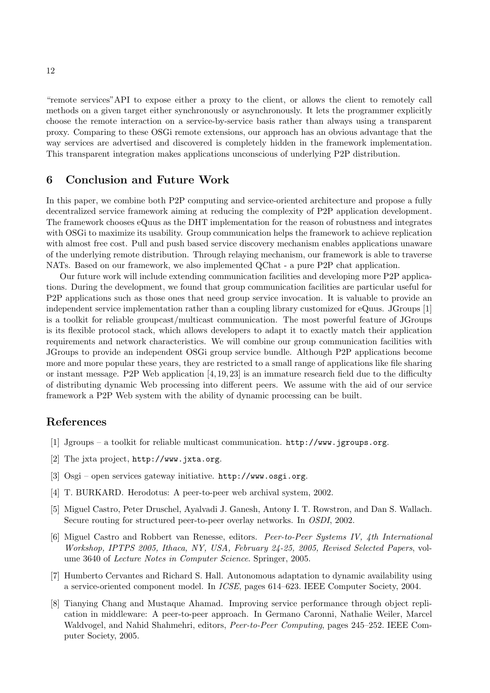"remote services"API to expose either a proxy to the client, or allows the client to remotely call methods on a given target either synchronously or asynchronously. It lets the programmer explicitly choose the remote interaction on a service-by-service basis rather than always using a transparent proxy. Comparing to these OSGi remote extensions, our approach has an obvious advantage that the way services are advertised and discovered is completely hidden in the framework implementation. This transparent integration makes applications unconscious of underlying P2P distribution.

## 6 Conclusion and Future Work

In this paper, we combine both P2P computing and service-oriented architecture and propose a fully decentralized service framework aiming at reducing the complexity of P2P application development. The framework chooses eQuus as the DHT implementation for the reason of robustness and integrates with OSGi to maximize its usability. Group communication helps the framework to achieve replication with almost free cost. Pull and push based service discovery mechanism enables applications unaware of the underlying remote distribution. Through relaying mechanism, our framework is able to traverse NATs. Based on our framework, we also implemented QChat - a pure P2P chat application.

Our future work will include extending communication facilities and developing more P2P applications. During the development, we found that group communication facilities are particular useful for P2P applications such as those ones that need group service invocation. It is valuable to provide an independent service implementation rather than a coupling library customized for eQuus. JGroups [1] is a toolkit for reliable groupcast/multicast communication. The most powerful feature of JGroups is its flexible protocol stack, which allows developers to adapt it to exactly match their application requirements and network characteristics. We will combine our group communication facilities with JGroups to provide an independent OSGi group service bundle. Although P2P applications become more and more popular these years, they are restricted to a small range of applications like file sharing or instant message. P2P Web application [4, 19, 23] is an immature research field due to the difficulty of distributing dynamic Web processing into different peers. We assume with the aid of our service framework a P2P Web system with the ability of dynamic processing can be built.

### References

- [1] Jgroups a toolkit for reliable multicast communication. http://www.jgroups.org.
- [2] The jxta project, http://www.jxta.org.
- [3] Osgi open services gateway initiative. http://www.osgi.org.
- [4] T. BURKARD. Herodotus: A peer-to-peer web archival system, 2002.
- [5] Miguel Castro, Peter Druschel, Ayalvadi J. Ganesh, Antony I. T. Rowstron, and Dan S. Wallach. Secure routing for structured peer-to-peer overlay networks. In OSDI, 2002.
- [6] Miguel Castro and Robbert van Renesse, editors. Peer-to-Peer Systems IV, 4th International Workshop, IPTPS 2005, Ithaca, NY, USA, February 24-25, 2005, Revised Selected Papers, volume 3640 of Lecture Notes in Computer Science. Springer, 2005.
- [7] Humberto Cervantes and Richard S. Hall. Autonomous adaptation to dynamic availability using a service-oriented component model. In ICSE, pages 614–623. IEEE Computer Society, 2004.
- [8] Tianying Chang and Mustaque Ahamad. Improving service performance through object replication in middleware: A peer-to-peer approach. In Germano Caronni, Nathalie Weiler, Marcel Waldvogel, and Nahid Shahmehri, editors, Peer-to-Peer Computing, pages 245–252. IEEE Computer Society, 2005.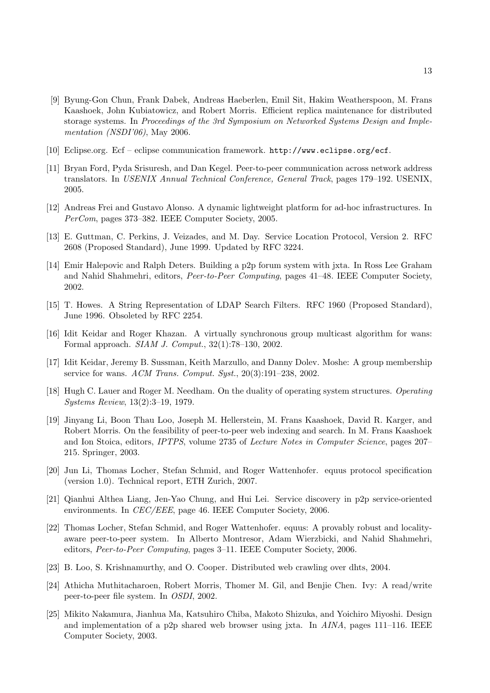- [9] Byung-Gon Chun, Frank Dabek, Andreas Haeberlen, Emil Sit, Hakim Weatherspoon, M. Frans Kaashoek, John Kubiatowicz, and Robert Morris. Efficient replica maintenance for distributed storage systems. In Proceedings of the 3rd Symposium on Networked Systems Design and Implementation (NSDI'06), May 2006.
- [10] Eclipse.org. Ecf eclipse communication framework. http://www.eclipse.org/ecf.
- [11] Bryan Ford, Pyda Srisuresh, and Dan Kegel. Peer-to-peer communication across network address translators. In USENIX Annual Technical Conference, General Track, pages 179–192. USENIX, 2005.
- [12] Andreas Frei and Gustavo Alonso. A dynamic lightweight platform for ad-hoc infrastructures. In PerCom, pages 373–382. IEEE Computer Society, 2005.
- [13] E. Guttman, C. Perkins, J. Veizades, and M. Day. Service Location Protocol, Version 2. RFC 2608 (Proposed Standard), June 1999. Updated by RFC 3224.
- [14] Emir Halepovic and Ralph Deters. Building a p2p forum system with jxta. In Ross Lee Graham and Nahid Shahmehri, editors, Peer-to-Peer Computing, pages 41–48. IEEE Computer Society, 2002.
- [15] T. Howes. A String Representation of LDAP Search Filters. RFC 1960 (Proposed Standard), June 1996. Obsoleted by RFC 2254.
- [16] Idit Keidar and Roger Khazan. A virtually synchronous group multicast algorithm for wans: Formal approach. SIAM J. Comput., 32(1):78–130, 2002.
- [17] Idit Keidar, Jeremy B. Sussman, Keith Marzullo, and Danny Dolev. Moshe: A group membership service for wans. ACM Trans. Comput. Syst., 20(3):191–238, 2002.
- [18] Hugh C. Lauer and Roger M. Needham. On the duality of operating system structures. Operating Systems Review, 13(2):3–19, 1979.
- [19] Jinyang Li, Boon Thau Loo, Joseph M. Hellerstein, M. Frans Kaashoek, David R. Karger, and Robert Morris. On the feasibility of peer-to-peer web indexing and search. In M. Frans Kaashoek and Ion Stoica, editors, IPTPS, volume 2735 of Lecture Notes in Computer Science, pages 207– 215. Springer, 2003.
- [20] Jun Li, Thomas Locher, Stefan Schmid, and Roger Wattenhofer. equus protocol specification (version 1.0). Technical report, ETH Zurich, 2007.
- [21] Qianhui Althea Liang, Jen-Yao Chung, and Hui Lei. Service discovery in p2p service-oriented environments. In CEC/EEE, page 46. IEEE Computer Society, 2006.
- [22] Thomas Locher, Stefan Schmid, and Roger Wattenhofer. equus: A provably robust and localityaware peer-to-peer system. In Alberto Montresor, Adam Wierzbicki, and Nahid Shahmehri, editors, Peer-to-Peer Computing, pages 3–11. IEEE Computer Society, 2006.
- [23] B. Loo, S. Krishnamurthy, and O. Cooper. Distributed web crawling over dhts, 2004.
- [24] Athicha Muthitacharoen, Robert Morris, Thomer M. Gil, and Benjie Chen. Ivy: A read/write peer-to-peer file system. In OSDI, 2002.
- [25] Mikito Nakamura, Jianhua Ma, Katsuhiro Chiba, Makoto Shizuka, and Yoichiro Miyoshi. Design and implementation of a p2p shared web browser using jxta. In  $AINA$ , pages 111–116. IEEE Computer Society, 2003.